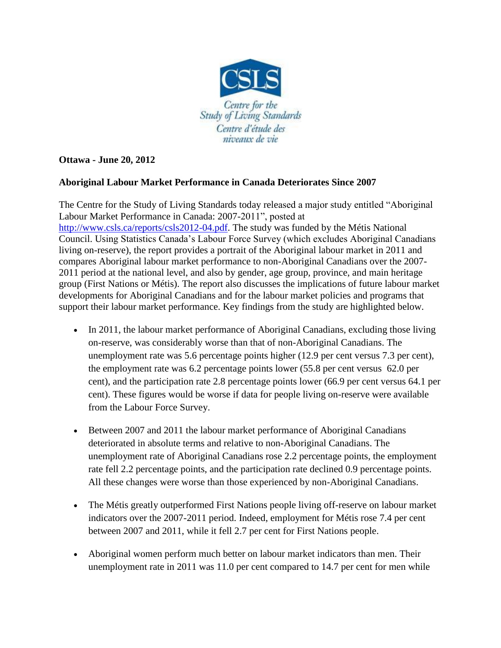

## **Ottawa - June 20, 2012**

## **Aboriginal Labour Market Performance in Canada Deteriorates Since 2007**

The Centre for the Study of Living Standards today released a major study entitled "Aboriginal Labour Market Performance in Canada: 2007-2011", posted at [http://www.csls.ca/reports/csls2012-04.pdf.](http://www.csls.ca/reports/csls2012-04.pdf) The study was funded by the Métis National Council. Using Statistics Canada's Labour Force Survey (which excludes Aboriginal Canadians living on-reserve), the report provides a portrait of the Aboriginal labour market in 2011 and compares Aboriginal labour market performance to non-Aboriginal Canadians over the 2007- 2011 period at the national level, and also by gender, age group, province, and main heritage group (First Nations or Métis). The report also discusses the implications of future labour market developments for Aboriginal Canadians and for the labour market policies and programs that support their labour market performance. Key findings from the study are highlighted below.

- In 2011, the labour market performance of Aboriginal Canadians, excluding those living on-reserve, was considerably worse than that of non-Aboriginal Canadians. The unemployment rate was 5.6 percentage points higher (12.9 per cent versus 7.3 per cent), the employment rate was 6.2 percentage points lower (55.8 per cent versus 62.0 per cent), and the participation rate 2.8 percentage points lower (66.9 per cent versus 64.1 per cent). These figures would be worse if data for people living on-reserve were available from the Labour Force Survey.
- Between 2007 and 2011 the labour market performance of Aboriginal Canadians deteriorated in absolute terms and relative to non-Aboriginal Canadians. The unemployment rate of Aboriginal Canadians rose 2.2 percentage points, the employment rate fell 2.2 percentage points, and the participation rate declined 0.9 percentage points. All these changes were worse than those experienced by non-Aboriginal Canadians.
- The Métis greatly outperformed First Nations people living off-reserve on labour market indicators over the 2007-2011 period. Indeed, employment for Métis rose 7.4 per cent between 2007 and 2011, while it fell 2.7 per cent for First Nations people.
- Aboriginal women perform much better on labour market indicators than men. Their unemployment rate in 2011 was 11.0 per cent compared to 14.7 per cent for men while